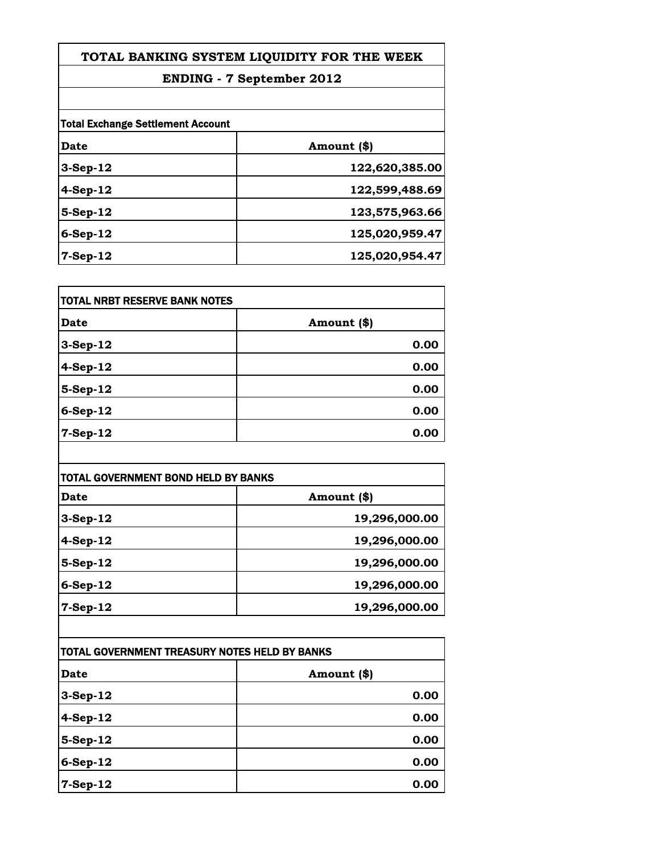## **ENDING - 7 September 2012**

| <b>Total Exchange Settlement Account</b> |                |
|------------------------------------------|----------------|
| Date                                     | Amount (\$)    |
| $3-Sep-12$                               | 122,620,385.00 |
| $4-Sep-12$                               | 122,599,488.69 |
| $5-Step-12$                              | 123,575,963.66 |
| $6-Sep-12$                               | 125,020,959.47 |
| $7-Sep-12$                               | 125,020,954.47 |

| TOTAL NRBT RESERVE BANK NOTES |             |
|-------------------------------|-------------|
| <b>Date</b>                   | Amount (\$) |
| 3-Sep-12                      | 0.00        |
| 4-Sep-12                      | 0.00        |
| 5-Sep-12                      | 0.00        |
| 6-Sep-12                      | 0.00        |
| 7-Sep-12                      | 0.00        |

| TOTAL GOVERNMENT BOND HELD BY BANKS |               |
|-------------------------------------|---------------|
| Date                                | Amount (\$)   |
| $3-Sep-12$                          | 19,296,000.00 |
| 4-Sep-12                            | 19,296,000.00 |
| $5-$ Sep-12                         | 19,296,000.00 |
| $6-Sep-12$                          | 19,296,000.00 |
| $7-Sep-12$                          | 19,296,000.00 |

| TOTAL GOVERNMENT TREASURY NOTES HELD BY BANKS |             |
|-----------------------------------------------|-------------|
| Date                                          | Amount (\$) |
| $3-Sep-12$                                    | 0.00        |
| $4-Sep-12$                                    | 0.00        |
| $5-$ Sep-12                                   | 0.00        |
| $6-Sep-12$                                    | 0.00        |
| $7-Sep-12$                                    | 0.00        |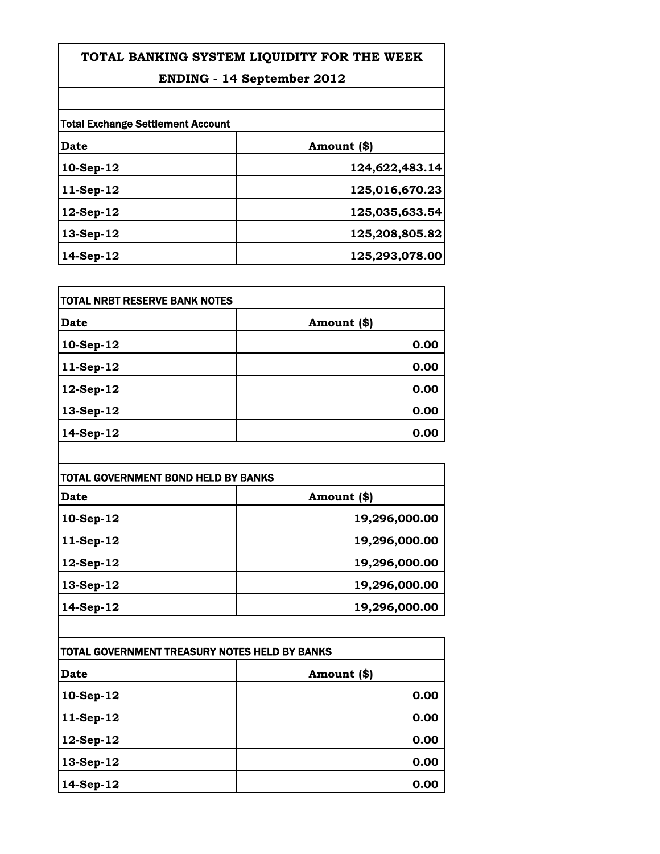## **ENDING - 14 September 2012**

|             | <b>Total Exchange Settlement Account</b> |  |
|-------------|------------------------------------------|--|
| Date        | Amount (\$)                              |  |
| 10-Sep-12   | 124,622,483.14                           |  |
| $11-Sep-12$ | 125,016,670.23                           |  |
| 12-Sep-12   | 125,035,633.54                           |  |
| $13-Sep-12$ | 125,208,805.82                           |  |
| $14-Sep-12$ | 125,293,078.00                           |  |

| TOTAL NRBT RESERVE BANK NOTES |             |
|-------------------------------|-------------|
| Date                          | Amount (\$) |
| 10-Sep-12                     | 0.00        |
| 11-Sep-12                     | 0.00        |
| 12-Sep-12                     | 0.00        |
| 13-Sep-12                     | 0.00        |
| 14-Sep-12                     | 0.00        |

| TOTAL GOVERNMENT BOND HELD BY BANKS |               |
|-------------------------------------|---------------|
| Date                                | Amount (\$)   |
| $10-Sep-12$                         | 19,296,000.00 |
| $11-Sep-12$                         | 19,296,000.00 |
| $12$ -Sep- $12$                     | 19,296,000.00 |
| 13-Sep-12                           | 19,296,000.00 |
| $14-Sep-12$                         | 19,296,000.00 |

| TOTAL GOVERNMENT TREASURY NOTES HELD BY BANKS |             |
|-----------------------------------------------|-------------|
| Date                                          | Amount (\$) |
| 10-Sep-12                                     | 0.00        |
| 11-Sep-12                                     | 0.00        |
| 12-Sep-12                                     | 0.00        |
| 13-Sep-12                                     | 0.00        |
| 14-Sep-12                                     | 0.00        |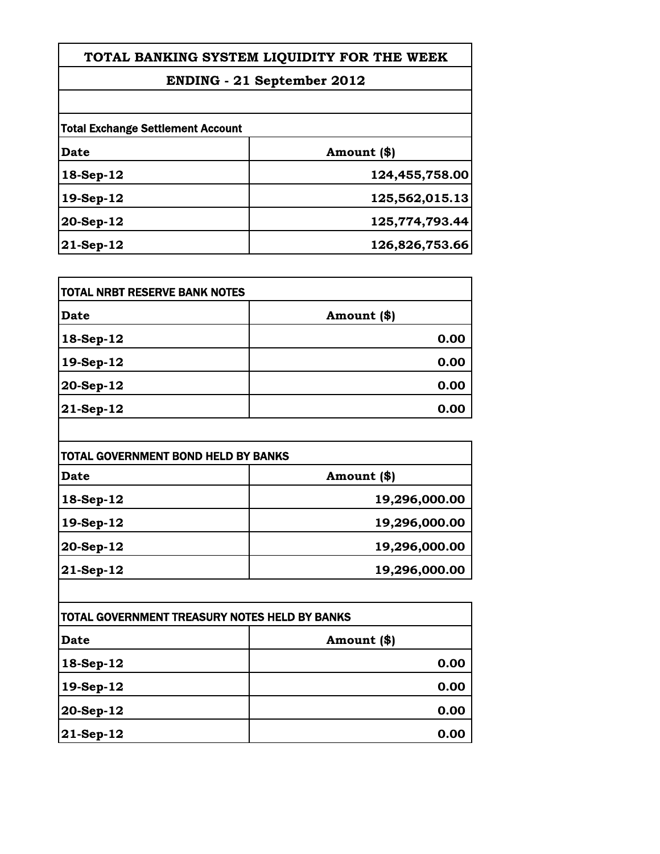## **ENDING - 21 September 2012**

| <b>Total Exchange Settlement Account</b> |                |
|------------------------------------------|----------------|
| Date                                     | Amount (\$)    |
| 18-Sep-12                                | 124,455,758.00 |
| 19-Sep-12                                | 125,562,015.13 |
| $20-Sep-12$                              | 125,774,793.44 |
| $ 21$ -Sep-12                            | 126,826,753.66 |

| <b>TOTAL NRBT RESERVE BANK NOTES</b> |             |
|--------------------------------------|-------------|
| <b>Date</b>                          | Amount (\$) |
| $18-Sep-12$                          | 0.00        |
| 19-Sep-12                            | 0.00        |
| 20-Sep-12                            | 0.00        |
| $ 21-Sep-12 $                        | 0.00        |

| TOTAL GOVERNMENT BOND HELD BY BANKS |               |
|-------------------------------------|---------------|
| Date                                | Amount (\$)   |
| 18-Sep-12                           | 19,296,000.00 |
| 19-Sep-12                           | 19,296,000.00 |
| 20-Sep-12                           | 19,296,000.00 |
| $ 21$ -Sep-12                       | 19,296,000.00 |

| TOTAL GOVERNMENT TREASURY NOTES HELD BY BANKS |             |
|-----------------------------------------------|-------------|
| <b>Date</b>                                   | Amount (\$) |
| 18-Sep-12                                     | 0.00        |
| 19-Sep-12                                     | 0.00        |
| $ 20$ -Sep-12                                 | 0.00        |
| $ 21$ -Sep-12                                 | 0.00        |